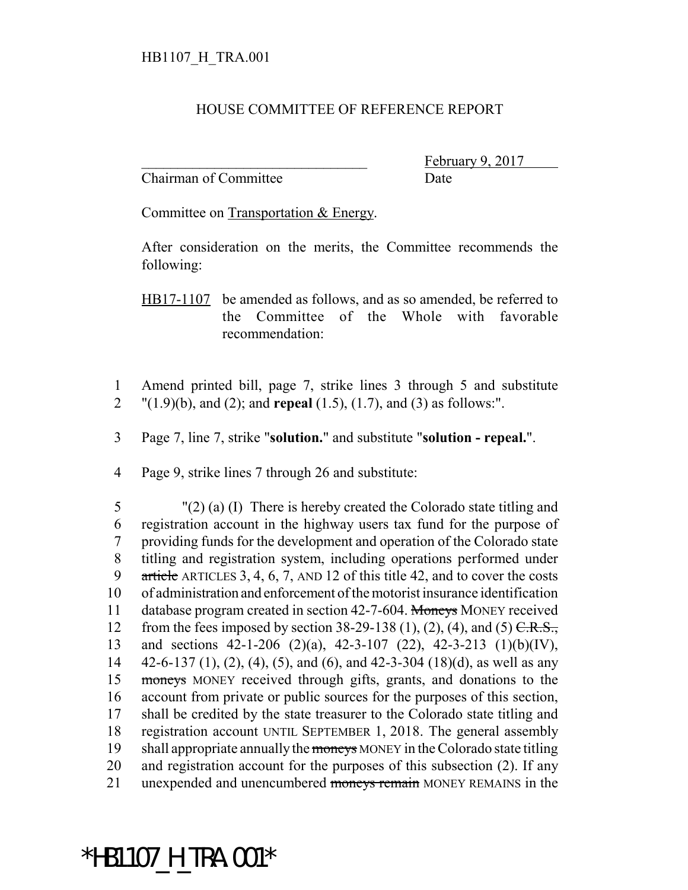## HOUSE COMMITTEE OF REFERENCE REPORT

Chairman of Committee Date

February 9, 2017

Committee on Transportation & Energy.

After consideration on the merits, the Committee recommends the following:

HB17-1107 be amended as follows, and as so amended, be referred to the Committee of the Whole with favorable recommendation:

- 1 Amend printed bill, page 7, strike lines 3 through 5 and substitute 2 "(1.9)(b), and (2); and **repeal** (1.5), (1.7), and (3) as follows:".
- 3 Page 7, line 7, strike "**solution.**" and substitute "**solution repeal.**".
- 4 Page 9, strike lines 7 through 26 and substitute:

 "(2) (a) (I) There is hereby created the Colorado state titling and registration account in the highway users tax fund for the purpose of providing funds for the development and operation of the Colorado state titling and registration system, including operations performed under article ARTICLES 3, 4, 6, 7, AND 12 of this title 42, and to cover the costs of administration and enforcement of the motorist insurance identification 11 database program created in section 42-7-604. Moneys MONEY received 12 from the fees imposed by section 38-29-138 (1), (2), (4), and (5)  $C.R.S.,$  and sections 42-1-206 (2)(a), 42-3-107 (22), 42-3-213 (1)(b)(IV),  $42-6-137(1)$ , (2), (4), (5), and (6), and 42-3-304 (18)(d), as well as any moneys MONEY received through gifts, grants, and donations to the account from private or public sources for the purposes of this section, shall be credited by the state treasurer to the Colorado state titling and registration account UNTIL SEPTEMBER 1, 2018. The general assembly 19 shall appropriate annually the moneys MONEY in the Colorado state titling and registration account for the purposes of this subsection (2). If any 21 unexpended and unencumbered moneys remain MONEY REMAINS in the

\*HB1107\_H\_TRA.001\*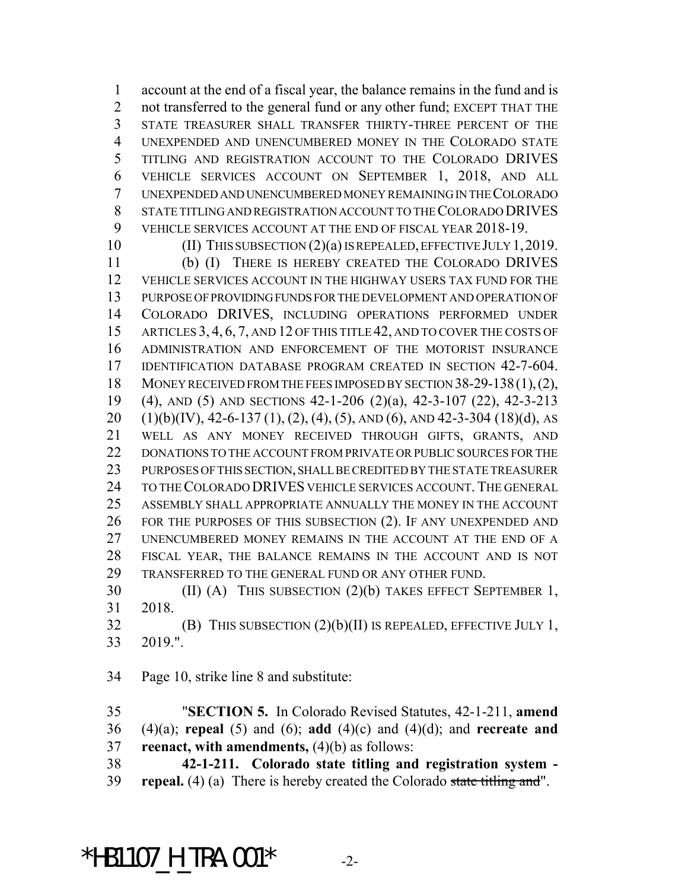account at the end of a fiscal year, the balance remains in the fund and is 2 not transferred to the general fund or any other fund; EXCEPT THAT THE STATE TREASURER SHALL TRANSFER THIRTY-THREE PERCENT OF THE UNEXPENDED AND UNENCUMBERED MONEY IN THE COLORADO STATE TITLING AND REGISTRATION ACCOUNT TO THE COLORADO DRIVES VEHICLE SERVICES ACCOUNT ON SEPTEMBER 1, 2018, AND ALL UNEXPENDED AND UNENCUMBERED MONEY REMAINING IN THE COLORADO STATE TITLING AND REGISTRATION ACCOUNT TO THE COLORADO DRIVES VEHICLE SERVICES ACCOUNT AT THE END OF FISCAL YEAR 2018-19.

10 (II) THIS SUBSECTION (2)(a) IS REPEALED, EFFECTIVE JULY 1, 2019. (b) (I) THERE IS HEREBY CREATED THE COLORADO DRIVES VEHICLE SERVICES ACCOUNT IN THE HIGHWAY USERS TAX FUND FOR THE PURPOSE OF PROVIDING FUNDS FOR THE DEVELOPMENT AND OPERATION OF COLORADO DRIVES, INCLUDING OPERATIONS PERFORMED UNDER 15 ARTICLES 3, 4, 6, 7, AND 12 OF THIS TITLE 42, AND TO COVER THE COSTS OF ADMINISTRATION AND ENFORCEMENT OF THE MOTORIST INSURANCE IDENTIFICATION DATABASE PROGRAM CREATED IN SECTION 42-7-604. 18 MONEY RECEIVED FROM THE FEES IMPOSED BY SECTION 38-29-138(1), (2), (4), AND (5) AND SECTIONS 42-1-206 (2)(a), 42-3-107 (22), 42-3-213  $(1)(b)(IV)$ , 42-6-137  $(1)$ ,  $(2)$ ,  $(4)$ ,  $(5)$ , AND  $(6)$ , AND 42-3-304  $(18)(d)$ , AS WELL AS ANY MONEY RECEIVED THROUGH GIFTS, GRANTS, AND 22 DONATIONS TO THE ACCOUNT FROM PRIVATE OR PUBLIC SOURCES FOR THE PURPOSES OF THIS SECTION, SHALL BE CREDITED BY THE STATE TREASURER 24 TO THE COLORADO DRIVES VEHICLE SERVICES ACCOUNT. THE GENERAL ASSEMBLY SHALL APPROPRIATE ANNUALLY THE MONEY IN THE ACCOUNT FOR THE PURPOSES OF THIS SUBSECTION (2). IF ANY UNEXPENDED AND UNENCUMBERED MONEY REMAINS IN THE ACCOUNT AT THE END OF A FISCAL YEAR, THE BALANCE REMAINS IN THE ACCOUNT AND IS NOT TRANSFERRED TO THE GENERAL FUND OR ANY OTHER FUND.

 (II) (A) THIS SUBSECTION (2)(b) TAKES EFFECT SEPTEMBER 1, 2018.

 (B) THIS SUBSECTION (2)(b)(II) IS REPEALED, EFFECTIVE JULY 1, 2019.".

Page 10, strike line 8 and substitute:

 "**SECTION 5.** In Colorado Revised Statutes, 42-1-211, **amend** (4)(a); **repeal** (5) and (6); **add** (4)(c) and (4)(d); and **recreate and reenact, with amendments,** (4)(b) as follows:

 **42-1-211. Colorado state titling and registration system - repeal.** (4) (a) There is hereby created the Colorado state titling and".

\*HB1107 H TRA.001\*  $-2$ -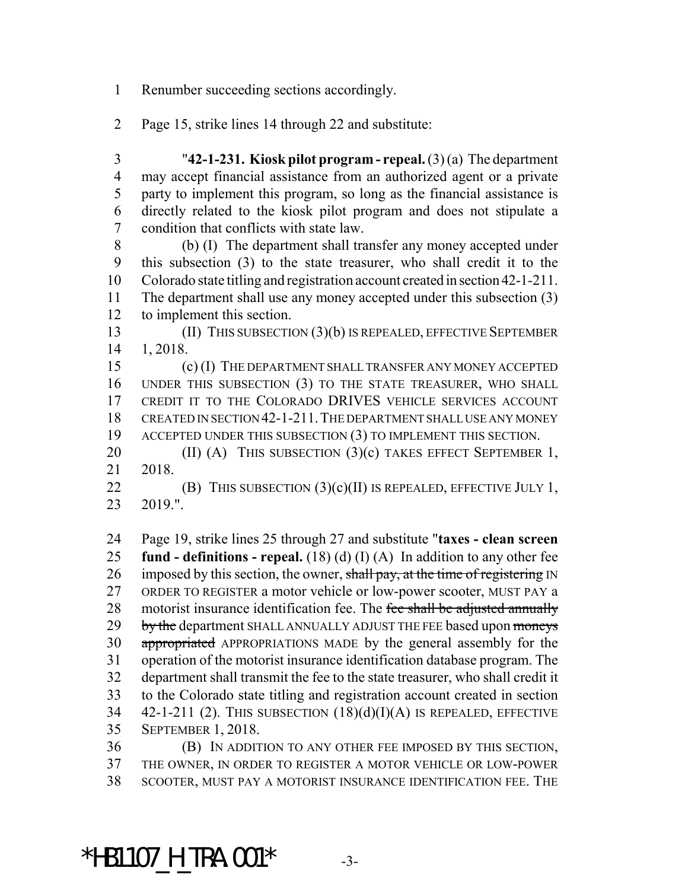Renumber succeeding sections accordingly.

- Page 15, strike lines 14 through 22 and substitute:
- "**42-1-231. Kiosk pilot program repeal.** (3) (a) The department may accept financial assistance from an authorized agent or a private party to implement this program, so long as the financial assistance is directly related to the kiosk pilot program and does not stipulate a condition that conflicts with state law.

 (b) (I) The department shall transfer any money accepted under this subsection (3) to the state treasurer, who shall credit it to the Colorado state titling and registration account created in section 42-1-211. The department shall use any money accepted under this subsection (3) to implement this section.

 (II) THIS SUBSECTION (3)(b) IS REPEALED, EFFECTIVE SEPTEMBER 1, 2018.

 (c) (I) THE DEPARTMENT SHALL TRANSFER ANY MONEY ACCEPTED UNDER THIS SUBSECTION (3) TO THE STATE TREASURER, WHO SHALL CREDIT IT TO THE COLORADO DRIVES VEHICLE SERVICES ACCOUNT CREATED IN SECTION 42-1-211.THE DEPARTMENT SHALL USE ANY MONEY ACCEPTED UNDER THIS SUBSECTION (3) TO IMPLEMENT THIS SECTION.

20 (II) (A) THIS SUBSECTION (3)(c) TAKES EFFECT SEPTEMBER 1, 2018.

22 **(B)** THIS SUBSECTION  $(3)(c)(II)$  IS REPEALED, EFFECTIVE JULY 1, 2019.".

 Page 19, strike lines 25 through 27 and substitute "**taxes - clean screen fund - definitions - repeal.** (18) (d) (I) (A) In addition to any other fee 26 imposed by this section, the owner, shall pay, at the time of registering IN ORDER TO REGISTER a motor vehicle or low-power scooter, MUST PAY a 28 motorist insurance identification fee. The fee shall be adjusted annually 29 by the department SHALL ANNUALLY ADJUST THE FEE based upon moneys 30 appropriated APPROPRIATIONS MADE by the general assembly for the operation of the motorist insurance identification database program. The department shall transmit the fee to the state treasurer, who shall credit it to the Colorado state titling and registration account created in section  $42-1-211$  (2). THIS SUBSECTION  $(18)(d)(I)(A)$  IS REPEALED, EFFECTIVE SEPTEMBER 1, 2018.

 (B) IN ADDITION TO ANY OTHER FEE IMPOSED BY THIS SECTION, THE OWNER, IN ORDER TO REGISTER A MOTOR VEHICLE OR LOW-POWER SCOOTER, MUST PAY A MOTORIST INSURANCE IDENTIFICATION FEE. THE

\*HB1107 H TRA.001\*  $-3$ -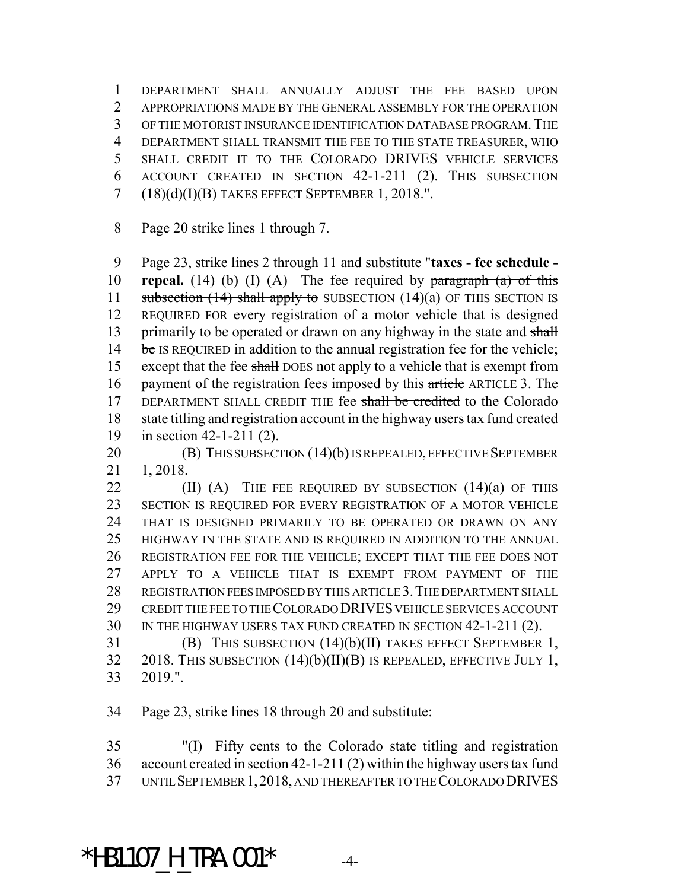DEPARTMENT SHALL ANNUALLY ADJUST THE FEE BASED UPON APPROPRIATIONS MADE BY THE GENERAL ASSEMBLY FOR THE OPERATION OF THE MOTORIST INSURANCE IDENTIFICATION DATABASE PROGRAM.THE DEPARTMENT SHALL TRANSMIT THE FEE TO THE STATE TREASURER, WHO SHALL CREDIT IT TO THE COLORADO DRIVES VEHICLE SERVICES ACCOUNT CREATED IN SECTION 42-1-211 (2). THIS SUBSECTION (18)(d)(I)(B) TAKES EFFECT SEPTEMBER 1, 2018.".

Page 20 strike lines 1 through 7.

 Page 23, strike lines 2 through 11 and substitute "**taxes - fee schedule - repeal.** (14) (b) (I) (A) The fee required by paragraph (a) of this 11 subsection  $(14)$  shall apply to SUBSECTION  $(14)(a)$  OF THIS SECTION IS REQUIRED FOR every registration of a motor vehicle that is designed 13 primarily to be operated or drawn on any highway in the state and shall 14 be IS REQUIRED in addition to the annual registration fee for the vehicle; 15 except that the fee shall DOES not apply to a vehicle that is exempt from 16 payment of the registration fees imposed by this article ARTICLE 3. The 17 DEPARTMENT SHALL CREDIT THE fee shall be credited to the Colorado state titling and registration account in the highway users tax fund created in section 42-1-211 (2).

**(B)** THIS SUBSECTION (14)(b) IS REPEALED, EFFECTIVE SEPTEMBER 1, 2018.

 $(II)$  (A) THE FEE REQUIRED BY SUBSECTION  $(14)(a)$  OF THIS SECTION IS REQUIRED FOR EVERY REGISTRATION OF A MOTOR VEHICLE THAT IS DESIGNED PRIMARILY TO BE OPERATED OR DRAWN ON ANY HIGHWAY IN THE STATE AND IS REQUIRED IN ADDITION TO THE ANNUAL REGISTRATION FEE FOR THE VEHICLE; EXCEPT THAT THE FEE DOES NOT APPLY TO A VEHICLE THAT IS EXEMPT FROM PAYMENT OF THE 28 REGISTRATION FEES IMPOSED BY THIS ARTICLE 3. THE DEPARTMENT SHALL CREDIT THE FEE TO THE COLORADO DRIVES VEHICLE SERVICES ACCOUNT IN THE HIGHWAY USERS TAX FUND CREATED IN SECTION 42-1-211 (2).

 (B) THIS SUBSECTION (14)(b)(II) TAKES EFFECT SEPTEMBER 1, 2018. THIS SUBSECTION (14)(b)(II)(B) IS REPEALED, EFFECTIVE JULY 1, 2019.".

Page 23, strike lines 18 through 20 and substitute:

 "(I) Fifty cents to the Colorado state titling and registration account created in section 42-1-211 (2) within the highway users tax fund UNTIL SEPTEMBER 1,2018, AND THEREAFTER TO THE COLORADO DRIVES

\*HB1107 H TRA.001\*  $-4$